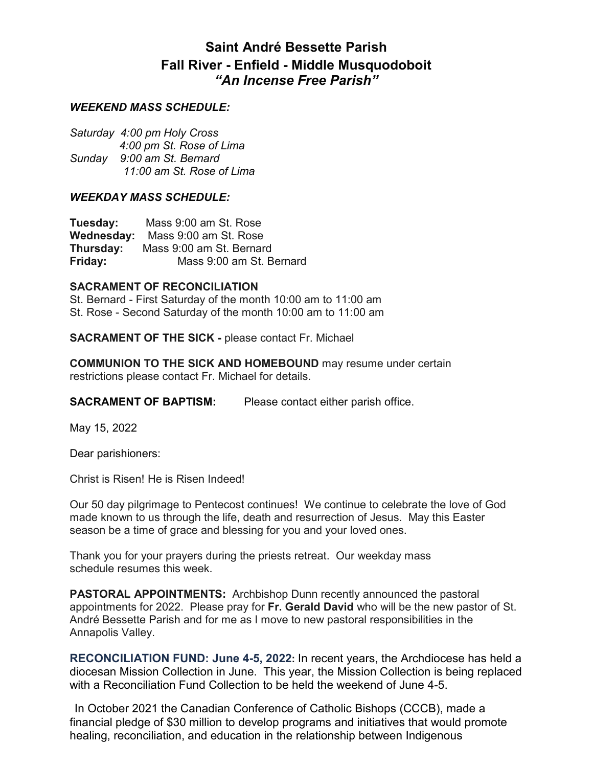# **Saint André Bessette Parish Fall River - Enfield - Middle Musquodoboit** *"An Incense Free Parish"*

### *WEEKEND MASS SCHEDULE:*

*Saturday 4:00 pm Holy Cross 4:00 pm St. Rose of Lima Sunday 9:00 am St. Bernard 11:00 am St. Rose of Lima* 

#### *WEEKDAY MASS SCHEDULE:*

**Tuesday:** Mass 9:00 am St. Rose **Wednesday:** Mass 9:00 am St. Rose **Thursday:** Mass 9:00 am St. Bernard **Friday:** Mass 9:00 am St. Bernard

#### **SACRAMENT OF RECONCILIATION**

St. Bernard - First Saturday of the month 10:00 am to 11:00 am St. Rose - Second Saturday of the month 10:00 am to 11:00 am

**SACRAMENT OF THE SICK -** please contact Fr. Michael

**COMMUNION TO THE SICK AND HOMEBOUND** may resume under certain restrictions please contact Fr. Michael for details.

**SACRAMENT OF BAPTISM:** Please contact either parish office.

May 15, 2022

Dear parishioners:

Christ is Risen! He is Risen Indeed!

Our 50 day pilgrimage to Pentecost continues! We continue to celebrate the love of God made known to us through the life, death and resurrection of Jesus. May this Easter season be a time of grace and blessing for you and your loved ones.

Thank you for your prayers during the priests retreat. Our weekday mass schedule resumes this week.

**PASTORAL APPOINTMENTS:** Archbishop Dunn recently announced the pastoral appointments for 2022. Please pray for **Fr. Gerald David** who will be the new pastor of St. André Bessette Parish and for me as I move to new pastoral responsibilities in the Annapolis Valley.

**RECONCILIATION FUND: June 4-5, 2022:** In recent years, the Archdiocese has held a diocesan Mission Collection in June. This year, the Mission Collection is being replaced with a Reconciliation Fund Collection to be held the weekend of June 4-5.

 In October 2021 the Canadian Conference of Catholic Bishops (CCCB), made a financial pledge of \$30 million to develop programs and initiatives that would promote healing, reconciliation, and education in the relationship between Indigenous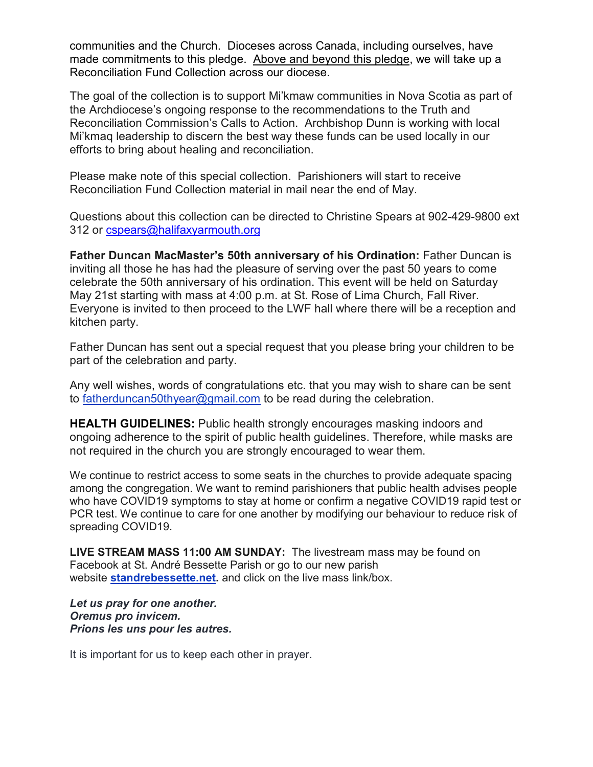communities and the Church. Dioceses across Canada, including ourselves, have made commitments to this pledge. Above and beyond this pledge, we will take up a Reconciliation Fund Collection across our diocese.

The goal of the collection is to support Mi'kmaw communities in Nova Scotia as part of the Archdiocese's ongoing response to the recommendations to the Truth and Reconciliation Commission's Calls to Action. Archbishop Dunn is working with local Mi'kmaq leadership to discern the best way these funds can be used locally in our efforts to bring about healing and reconciliation.

Please make note of this special collection. Parishioners will start to receive Reconciliation Fund Collection material in mail near the end of May.

Questions about this collection can be directed to Christine Spears at 902-429-9800 ext 312 or cspears@halifaxyarmouth.org

**Father Duncan MacMaster's 50th anniversary of his Ordination:** Father Duncan is inviting all those he has had the pleasure of serving over the past 50 years to come celebrate the 50th anniversary of his ordination. This event will be held on Saturday May 21st starting with mass at 4:00 p.m. at St. Rose of Lima Church, Fall River. Everyone is invited to then proceed to the LWF hall where there will be a reception and kitchen party.

Father Duncan has sent out a special request that you please bring your children to be part of the celebration and party.

Any well wishes, words of congratulations etc. that you may wish to share can be sent to fatherduncan50thyear@gmail.com to be read during the celebration.

**HEALTH GUIDELINES:** Public health strongly encourages masking indoors and ongoing adherence to the spirit of public health guidelines. Therefore, while masks are not required in the church you are strongly encouraged to wear them.

We continue to restrict access to some seats in the churches to provide adequate spacing among the congregation. We want to remind parishioners that public health advises people who have COVID19 symptoms to stay at home or confirm a negative COVID19 rapid test or PCR test. We continue to care for one another by modifying our behaviour to reduce risk of spreading COVID19.

**LIVE STREAM MASS 11:00 AM SUNDAY:** The livestream mass may be found on Facebook at St. André Bessette Parish or go to our new parish website **standrebessette.net.** and click on the live mass link/box.

*Let us pray for one another. Oremus pro invicem. Prions les uns pour les autres.*

It is important for us to keep each other in prayer.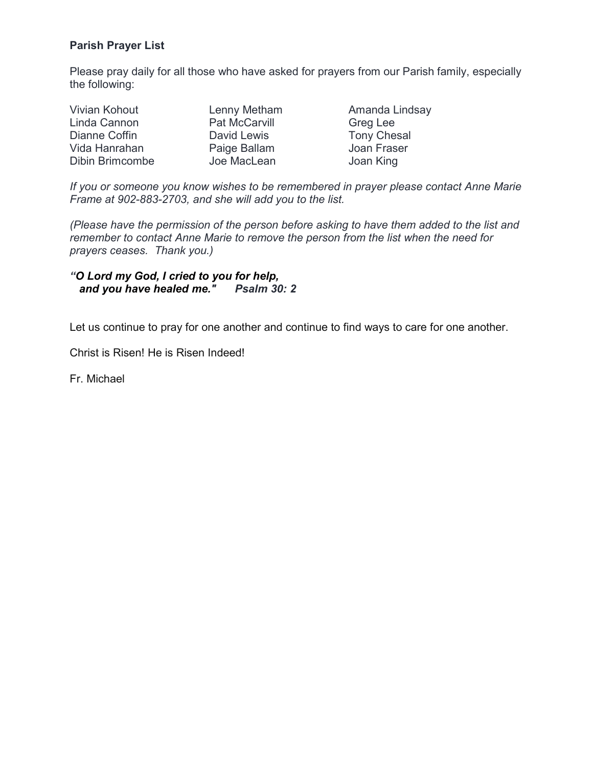## **Parish Prayer List**

Please pray daily for all those who have asked for prayers from our Parish family, especially the following:

| Vivian Kohout   | Lenny Metham         | Amanda Lindsay     |
|-----------------|----------------------|--------------------|
| Linda Cannon    | <b>Pat McCarvill</b> | Greg Lee           |
| Dianne Coffin   | David Lewis          | <b>Tony Chesal</b> |
| Vida Hanrahan   | Paige Ballam         | Joan Fraser        |
| Dibin Brimcombe | Joe MacLean          | Joan King          |

*If you or someone you know wishes to be remembered in prayer please contact Anne Marie Frame at 902-883-2703, and she will add you to the list.* 

*(Please have the permission of the person before asking to have them added to the list and remember to contact Anne Marie to remove the person from the list when the need for prayers ceases. Thank you.)*

*"O Lord my God, I cried to you for help, and you have healed me." Psalm 30: 2*

Let us continue to pray for one another and continue to find ways to care for one another.

Christ is Risen! He is Risen Indeed!

Fr. Michael